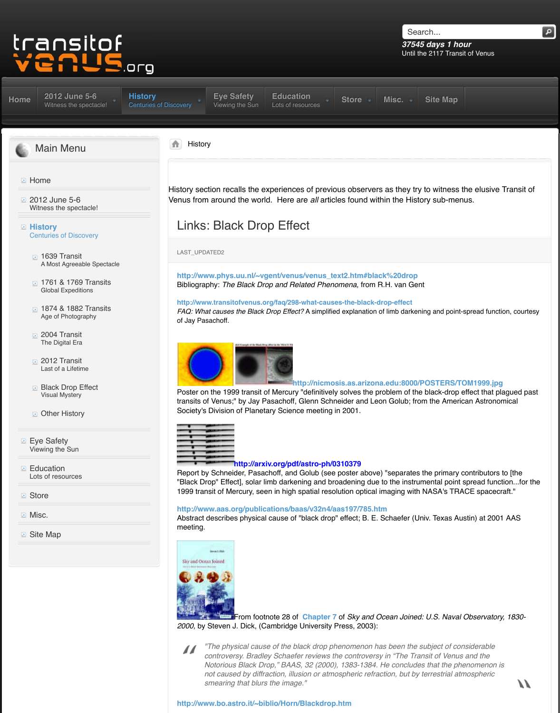- A Most Agreeable Spectacle
- **1761 & 1769 Transits** Global Expeditions
- **1874 & 1882 Transits** Age of Photography
- **2004 Transit** The Digital Era
- [2012 Transit](http://www.transitofvenus.org/june2012) Last of a Lifetime
- **Black Drop Effect** Visual Mystery
- **D** Other History
- **Exe Safety** Viewing the Sun
- **E** Education [Lots of resources](http://www.transitofvenus.org/june2012)
- **[Store](http://www.transitofvenus.org/history)**
- **Misc.**
- **B** [Site Map](http://www.transitofvenus.org/history/1639-transit)

http://www.phys.uu.nl/~vgent/venus/venus\_text2 Bibliography: The Black Drop and Related Phenome

http://www.transitofvenus.org/faq/298-what-causes-tl *FAQ: What causes the Black Drop Effect?* A simplified ex of Jay Pasachoff.



Poster on the 1999 transit of Mercury "definitively so transits of Venus;" by Jay Pasachoff, Glenn Schneider [So](http://www.transitofvenus.org/)ciety's Division of Planetary Science meeting in 20



**http://arxiv.org/pdf/astro-ph/0310379**

Report by Schneider, Pasachoff, and Golub (see poster above) as "Black Drop" Effect], solar limb darkening and broadening to the instrumental point spread instrumental point spread in spread in Super Super Super Super Super Super Super Super Super Super Super Super Super Super Super Su 1999 transit of Mercury, seen in high spatial resolutic

http://www.aas.org/publications/baas/v32n4/aas1 Abstract describes physical cause of "black drop" eff meeting.



[From footnote 28 o](http://www.transitofvenus.org/history/black-drop/160-links-black-drop-effect)f **Chapter 7** of 2000, [by Steven J](http://www.transitofvenus.org/history/black-drop/160-links-black-drop-effect). Dick, (Cambridge University Pres

*"The physical cause of the black drop phend*  $\prime\prime$ controversy. Bradley Schaefer reviews the c *Notorious Black Drop," BAAS, 32 (2000), 13 not caused by diffraction, illusion or atmospl smearing that blurs the image."*

**[http://www.bo.as](http://www.transitofvenus.org/history/black-drop/160-links-black-drop-effect)tro.it/~biblio/Horn/Blackdrop.htm**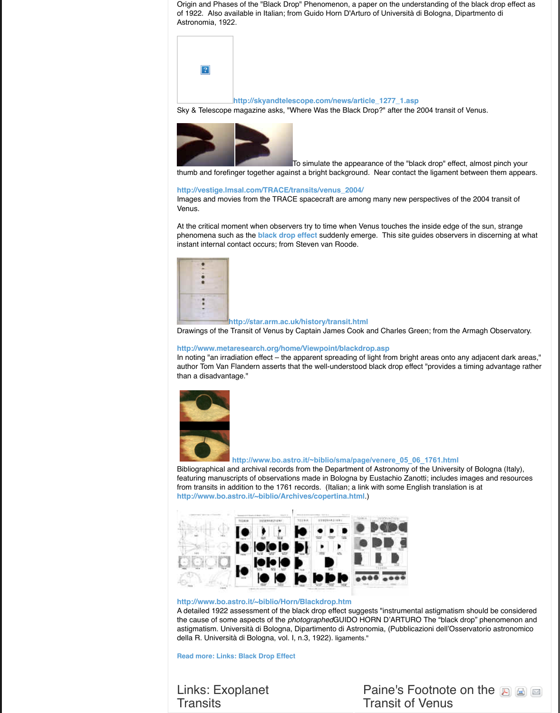

**http://star.arm.ac.uk/history/transit.html** 

Drawings of the Transit of Venus by Captain James

http://www.metaresearch.org/home/Viewpoint/bla In noting "an irradiation effect  $-$  the apparent spreading from bright areas,  $\frac{1}{2}$ author Tom Van Flandern asserts that the well-under than a disadvantage."



http://www.bo.astro.it/~biblio/sma

Bibliographical and archival records from the Depart featuring manuscripts of observations made in Bolog from transits in addition to the 1761 records. (Italian http://www.bo.astro.it/[~biblio/Archives/c](http://www.transitofvenus.org/blackdrop.htm)opertina.



**http://www.bo.astro.it/~biblio/Horn/Blackdrop.htm** A detailed 1922 assessment of the black drop effect the cause of some aspects of the *photographed* GUII astigmatism. Università di Bologna, Dipartimento di Astronomia della R. Università di Bologna, vol. I, n.3, 1922). ligar

**Read more: Links: Black Drop Effect**

[Links: Exo](http://www.bo.astro.it/%7Ebiblio/sma/page/venere_05_06_1761.html)planet **Transits**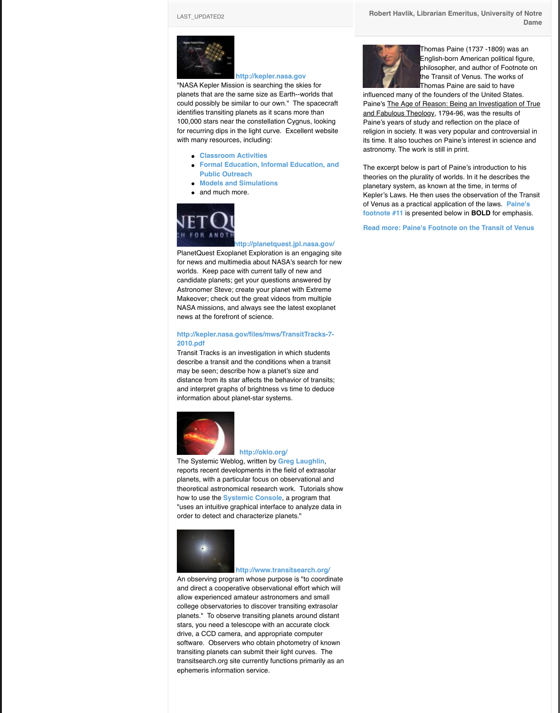for news and multimedia about NASA's search for new worlds. Keep pace with current tally of new and candidate planets; get your questions answered by Astronomer Steve; create your planet with Extreme Makeover; check out the great videos from multiple [NASA missions, an](http://www.transitofvenus.org/education/new-discoveries/186-links-exoplanet-transits)d always see the latest exoplanet news at the forefront of science.

#### **http://kepler.nasa.[gov/files/mws/TransitT](http://kepler.nasa.gov/)racks-7- 2010.pdf**

Transit Tracks is an investigation in which students describe a transit and the conditions when a transit may be seen; describe how a planet's size and distance from its star affects the behavior of transits; and interpret graphs of brightness vs time to deduce information about planet-star systems.



### **[http://oklo.o](http://kepler.nasa.gov/education/ModelsandSimulations/)rg/**

The Systemic Weblog, written by **Greg Laughlin**, [reports recent deve](http://www.transitofvenus.org/education/new-discoveries/186-links-exoplanet-transits)lopments in the field of extrasolar planets, with a particular focus on observational and theoretical astronomical research work. Tutorials show how to use the **Systemic Console**, a program that "uses an intuitive [graphical interface to analyze data](http://planetquest.jpl.nasa.gov/) in order to detect and characterize planets."



#### **http://www.transitsearch.org/**

An observing program whose purpose is "to coordinate and direct a cooperative observational effort which will [allow experienced amateur astronomers and small](http://kepler.nasa.gov/files/mws/TransitTracks-7-2010.pdf) college observatories to discover transiting extrasolar planets." To observe transiting planets around distant stars, you need a telescope with an accurate clock drive, a CCD camera, and appropriate computer software. Observers who obtain photometry of known transiting planets can submit their light curves. The transitsearch.org site currently functions primarily as an ephemeris information service.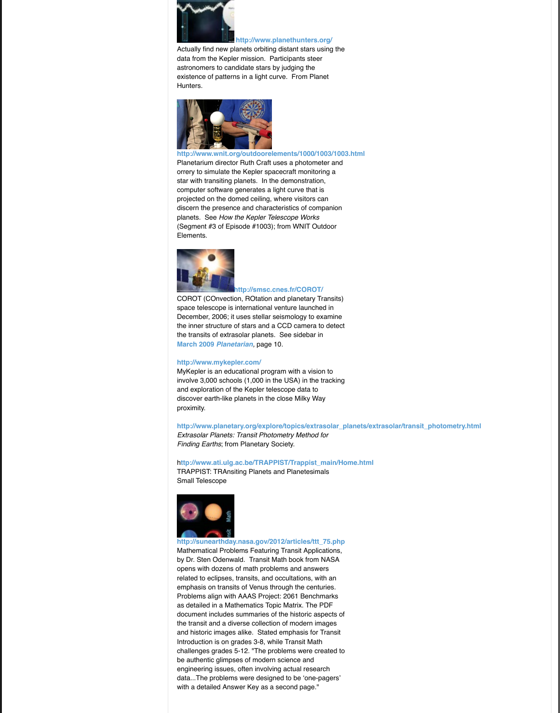

#### **http://smsc.cnes.fr/COROT/**

[COROT \(COnvecti](http://www.transitofvenus.org/education/new-discoveries/186-links-exoplanet-transits)[on, ROtation and planetary Trans](http://www.planethunters.org/)its) space telescope is international venture launched in December, 2006; it uses stellar seismology to examine the inner structure of stars and a CCD camera to detect the transits of extrasolar planets. See sidebar in **March 2009** *Planetarian,* page 10.

#### **http://www.mykepler.com/**

MyKepler is an educational program with a vision to [involve 3,000 schools \(1,000 in the USA\) in the tracking](http://www.wnit.org/outdoorelements/1000/1003/1003.html) and exploration of the Kepler telescope data to discover earth-like planets in the close Milky Way proximity.

http://www.planetary.org/explore/topics/extrasolar\_pl *Extrasolar Planets: Transit Photometry Method for Finding Earths*; from Planetary Society.

http://www.ati.ulg.ac.be/TRAPPIST/Trappist\_main/Ho TRAPPIST: TRAnsiting Planets and Planetesimals Small Telescope



**[http://sunearthday](http://www.transitofvenus.org/education/new-discoveries/186-links-exoplanet-transits).nasa.gov/2012/articles/ttt\_75.php** Mathematical Pro[blems Featuring Transit Applica](http://smsc.cnes.fr/COROT/)tions, by Dr. Sten Odenwald. Transit Math book from NASA opens with dozens of math problems and answers related to eclipses, transits, and occultations, with an emphasis on transits of Venus through the centuries. Problems align with AAAS Project: 2061 Benchmarks [as detailed in a Mathema](http://kepler.nasa.gov/files/mws/Planetarian-Kepler-Mission-March2009.pdf)tics Topic Matrix. The PDF document includes summaries of the historic aspects of [the transit and a diverse coll](http://www.mykepler.com/)ection of modern images and historic images alike. Stated emphasis for Transit Introduction is on grades 3-8, while Transit Math challenges grades 5-12. "The problems were created to be authentic glimpses of modern science and engineering issues, often involving actual research data...The problems were designed to be 'one-pagers' [with a detailed Answer Key as a second page."](http://www.planetary.org/explore/topics/extrasolar_planets/extrasolar/transit_photometry.html)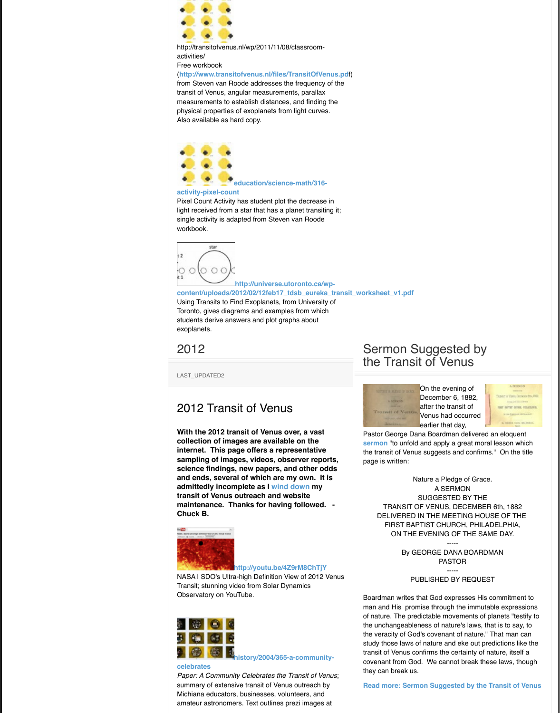

#### **http://universe.utoronto.ca/wp**[content/uploads/2](http://www.transitofvenus.org/education/new-discoveries/186-links-exoplanet-transits)012/02/12feb17\_tdsb\_eureka\_trans

Using Transits to Find Exoplanets, from University of Toronto, gives diagrams and examples from which students derive answers and plot graphs about [exoplanets.](http://www.transitofvenus.nl/files/TransitOfVenus.pd)

2012

LAST\_UPDATED2

## [2012 Trans](http://www.transitofvenus.org/education/new-discoveries/186-links-exoplanet-transits)it of Venus

**With the 2012 transit of Venus over, a vast collection of images are available on the [internet. This page offers a representative](http://www.transitofvenus.org/education/science-math/316-activity-pixel-count) sampling of images, videos, observer reports, science findings, new papers, and other odds and ends, several of which are my own. It is admittedly incomplete as I wind down my transit of Venus outreach and website [maintenance. Th](http://www.transitofvenus.org/education/new-discoveries/186-links-exoplanet-transits)anks for having followed. - Chuck B.**



#### **http://youtu.be/4Z9rM8ChTjY**

NASA | SDO's Ultra-high Definition View of 2012 Venus Transit; stunning video from Solar Dynamics Observatory on YouTube.



#### **celebrates**

*Paper: A Community Celebrates the Transit of Venus*; summary of extensive transit of Venus outreach by Michiana educators, businesses, volunteers, and amateur astronomers. Text outlines prezi images at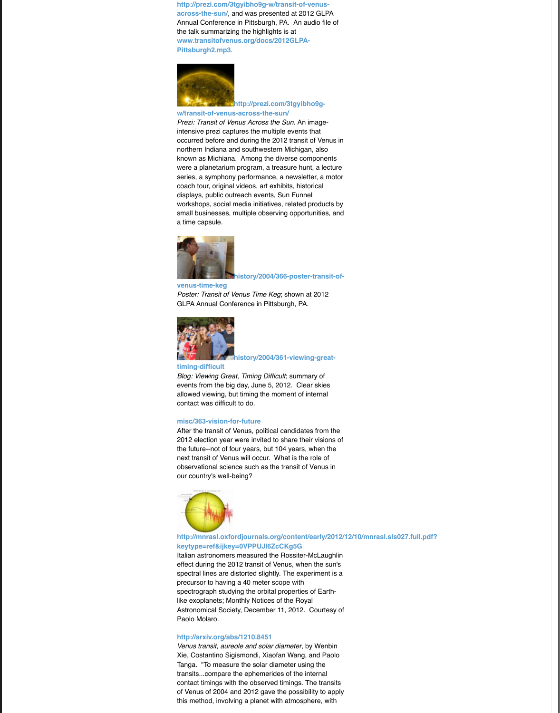

**[history/2004/366-poster-transi](http://www.transitofvenus.org/history/2004/365-a-community-celebrates)t-of-**

#### **venus-time-keg**

*Poster: Transit of Venus Time Keg*; shown at 2012 [GLPA Annual Conference in Pittsburgh, PA.](http://www.transitofvenus.org/docs/2012GLPA-Pittsburgh2.mp3)



#### **history/2004/361-viewing-great-**

#### **[timing-difficult](http://www.transitofvenus.org/history/2004/367-2012)**

*[Blog: Viewing Great, Timing Difficult](http://prezi.com/3tgyibho9g-w/transit-of-venus-across-the-sun/)*; summary of events from the big day, June 5, 2012. Clear skies allowed viewing, but timing the moment of internal contact was difficult to do.

#### **misc/363-vision-for-future**

After the transit of Venus, political candidates from the 2012 election year were invited to share their visions of the future--not of four years, but 104 years, when the next transit of Venus will occur. What is the role of observational science such as the transit of Venus in our country's well-being?



## [http://mnrasl.oxf](http://www.transitofvenus.org/history/2004/367-2012)[ordjournals.org/content/early/2012/1](http://www.transitofvenus.org/history/2004/366-poster-transit-of-venus-time-keg) **keytype=ref&ijkey=0VPPUJI6ZcCKg5G**

Italian astronomers measured the Rossiter-McLaughlin effect during the 2012 transit of Venus, when the sun's spectral lines are distorted slightly. The experiment is a precursor to having a 40 meter scope with [spectrograph study](http://www.transitofvenus.org/history/2004/367-2012)ing the orbital properties of Earthlike exoplanets; Monthly Notices of the Royal Astronomical Society, December 11, 2012. Courtesy of [Paolo Molaro.](http://www.transitofvenus.org/history/2004/361-viewing-great-timing-difficult)

#### **http://arxiv.org/abs/1210.8451**

*Venus transit, aureole and solar diameter*, by Wenbin Xie, Costantino Sigismondi, Xiaofan Wang, and Paolo Tanga. "To measure the solar diameter using the transits...compare the ephemerides of the internal [contact timings with the obse](http://www.transitofvenus.org/misc/363-vision-for-future)rved timings. The transits of Venus of 2004 and 2012 gave the possibility to apply this method, involving a planet with atmosphere, with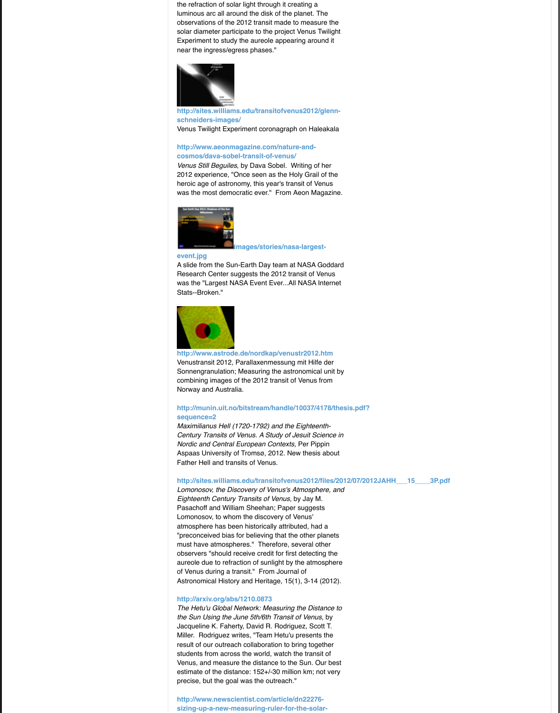A slide from the Sun-Earth Day team at NASA Goddard Research Center suggests the 2012 transit of Venus was the "Largest NASA Event Ever...All NASA Internet Stats--Broken."



#### **[http://www.astrod](http://www.transitofvenus.org/history/2004/367-2012)e.de/nordkap/venustr2012.htm**

Venustransit 2012, Parallaxenmessung mit Hilfe der Sonnengranulation; Measuring the astronomical unit by [combining images of the 2012 transit of Venus from](http://sites.williams.edu/transitofvenus2012/glenn-schneiders-images/) Norway and Australia.

#### [http://munin.uit.no/bitstream/handle/10037/4](http://www.aeonmagazine.com/nature-and-cosmos/dava-sobel-transit-of-venus/)178/thesi **sequence=2**

*Maximilianus Hell (1720-1792) and the Eighteenth-Century Transits of Venus. A Study of Jesuit Science in Nordic and Central European Contexts,* Per Pippin Aspaas University of Tromsø, 2012. New thesis about Father Hell and transits of Venus.

#### [http://sites.william](http://www.transitofvenus.org/history/2004/367-2012)s.edu/transitofvenus2012/files/2012

*Lomonosov, the Discovery of Venus's Atmosphere, and Eighteenth Century Transits of Venus*, by Jay M. [Pasachoff and William Sheehan; Paper suggests](http://www.transitofvenus.org/images/stories/nasa-largest-event.jpg) Lomonosov, to whom the discovery of Venus' atmosphere has been historically attributed, had a "preconceived bias for believing that the other planets must have atmospheres." Therefore, several other observers "should receive credit for first detecting the aureole due to refraction of sunlight by the atmosphere [of Venus during a t](http://www.transitofvenus.org/history/2004/367-2012)ransit." From Journal of Astronomical History and Heritage, 15(1), 3-14 (2012).

#### **http://arxiv.org/abs/1210.0873**

*The Hetu'u Global Network: Measuring the Distance to [the Sun Using the June 5th/6th Transit of Venus](http://www.astrode.de/nordkap/venustr2012.htm)*, by Jacqueline K. Faherty, David R. Rodriguez, Scott T. Miller. Rodriguez writes, "Team Hetu'u presents the result of our outreach collaboration to bring together students from across the world, watch the transit of Venus, and measure the distance to the Sun. Our best [estimate of the distance: 152+/-30 million km; not very](http://munin.uit.no/bitstream/handle/10037/4178/thesis.pdf?sequence=2) precise, but the goal was the outreach."

**http://www.newscientist.com/article/dn22276 sizing-up-a-new-measuring-ruler-for-the-solar-**